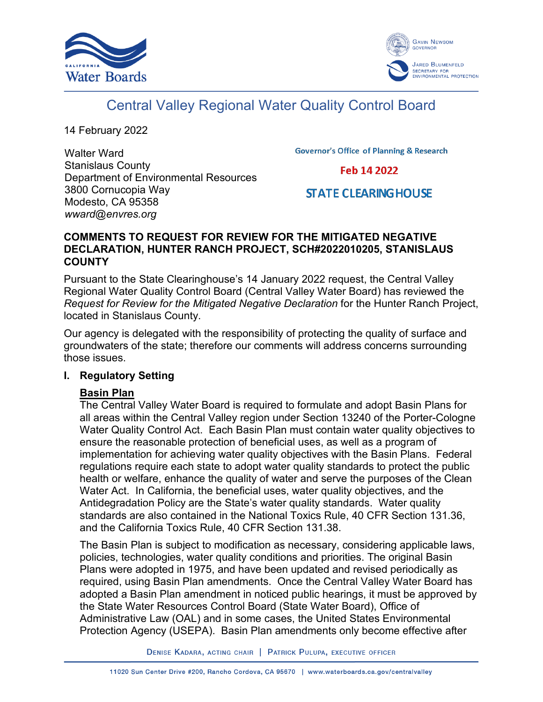



# Central Valley Regional Water Quality Control Board

14 February 2022

Walter Ward Stanislaus County Department of Environmental Resources 3800 Cornucopia Way Modesto, CA 95358 *wward@envres.org*

**Governor's Office of Planning & Research** 

Feb 14 2022

## **STATE CLEARING HOUSE**

## **COMMENTS TO REQUEST FOR REVIEW FOR THE MITIGATED NEGATIVE DECLARATION, HUNTER RANCH PROJECT, SCH#2022010205, STANISLAUS COUNTY**

Pursuant to the State Clearinghouse's 14 January 2022 request, the Central Valley Regional Water Quality Control Board (Central Valley Water Board) has reviewed the *Request for Review for the Mitigated Negative Declaration* for the Hunter Ranch Project, located in Stanislaus County.

Our agency is delegated with the responsibility of protecting the quality of surface and groundwaters of the state; therefore our comments will address concerns surrounding those issues.

## **I. Regulatory Setting**

## **Basin Plan**

The Central Valley Water Board is required to formulate and adopt Basin Plans for all areas within the Central Valley region under Section 13240 of the Porter-Cologne Water Quality Control Act. Each Basin Plan must contain water quality objectives to ensure the reasonable protection of beneficial uses, as well as a program of implementation for achieving water quality objectives with the Basin Plans. Federal regulations require each state to adopt water quality standards to protect the public health or welfare, enhance the quality of water and serve the purposes of the Clean Water Act. In California, the beneficial uses, water quality objectives, and the Antidegradation Policy are the State's water quality standards. Water quality standards are also contained in the National Toxics Rule, 40 CFR Section 131.36, and the California Toxics Rule, 40 CFR Section 131.38.

The Basin Plan is subject to modification as necessary, considering applicable laws, policies, technologies, water quality conditions and priorities. The original Basin Plans were adopted in 1975, and have been updated and revised periodically as required, using Basin Plan amendments. Once the Central Valley Water Board has adopted a Basin Plan amendment in noticed public hearings, it must be approved by the State Water Resources Control Board (State Water Board), Office of Administrative Law (OAL) and in some cases, the United States Environmental Protection Agency (USEPA). Basin Plan amendments only become effective after

DENISE KADARA, ACTING CHAIR | PATRICK PULUPA, EXECUTIVE OFFICER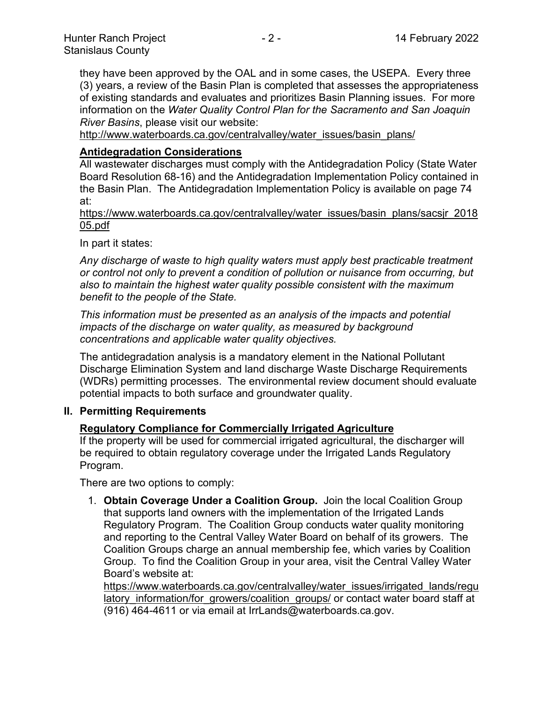they have been approved by the OAL and in some cases, the USEPA. Every three (3) years, a review of the Basin Plan is completed that assesses the appropriateness of existing standards and evaluates and prioritizes Basin Planning issues. For more information on the *Water Quality Control Plan for the Sacramento and San Joaquin River Basins*, please visit our website:

[http://www.waterboards.ca.gov/centralvalley/water\\_issues/basin\\_plans/](http://www.waterboards.ca.gov/centralvalley/water_issues/basin_plans/)

## **Antidegradation Considerations**

All wastewater discharges must comply with the Antidegradation Policy (State Water Board Resolution 68-16) and the Antidegradation Implementation Policy contained in the Basin Plan. The Antidegradation Implementation Policy is available on page 74 at:

https://www.waterboards.ca.gov/centralvalley/water\_issues/basin\_plans/sacsjr\_2018 05.pdf

In part it states:

*Any discharge of waste to high quality waters must apply best practicable treatment or control not only to prevent a condition of pollution or nuisance from occurring, but also to maintain the highest water quality possible consistent with the maximum benefit to the people of the State.*

*This information must be presented as an analysis of the impacts and potential impacts of the discharge on water quality, as measured by background concentrations and applicable water quality objectives.*

The antidegradation analysis is a mandatory element in the National Pollutant Discharge Elimination System and land discharge Waste Discharge Requirements (WDRs) permitting processes. The environmental review document should evaluate potential impacts to both surface and groundwater quality.

## **II. Permitting Requirements**

## **Regulatory Compliance for Commercially Irrigated Agriculture**

If the property will be used for commercial irrigated agricultural, the discharger will be required to obtain regulatory coverage under the Irrigated Lands Regulatory Program.

There are two options to comply:

1. **Obtain Coverage Under a Coalition Group.** Join the local Coalition Group that supports land owners with the implementation of the Irrigated Lands Regulatory Program. The Coalition Group conducts water quality monitoring and reporting to the Central Valley Water Board on behalf of its growers. The Coalition Groups charge an annual membership fee, which varies by Coalition Group. To find the Coalition Group in your area, visit the Central Valley Water Board's website at:

https://www.waterboards.ca.gov/centralvalley/water\_issues/irrigated\_lands/regu latory information/for growers/coalition groups/ or contact water board staff at (916) 464-4611 or via email at IrrLands@waterboards.ca.gov.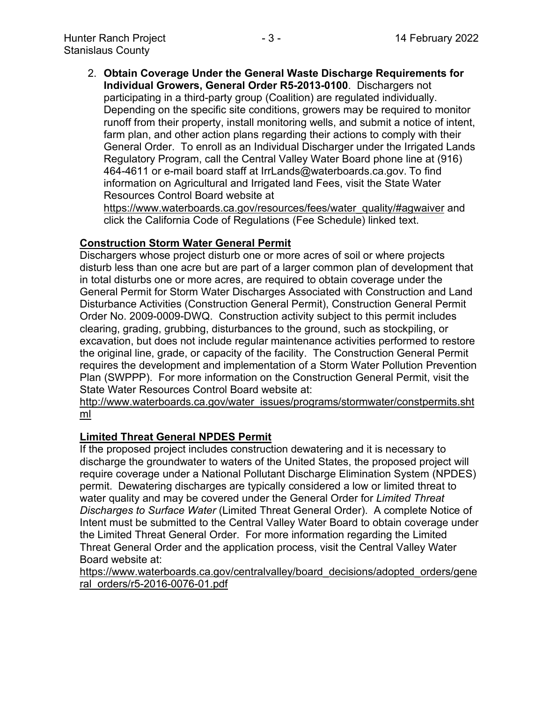2. **Obtain Coverage Under the General Waste Discharge Requirements for Individual Growers, General Order R5-2013-0100**. Dischargers not participating in a third-party group (Coalition) are regulated individually. Depending on the specific site conditions, growers may be required to monitor runoff from their property, install monitoring wells, and submit a notice of intent, farm plan, and other action plans regarding their actions to comply with their General Order. To enroll as an Individual Discharger under the Irrigated Lands Regulatory Program, call the Central Valley Water Board phone line at (916) 464-4611 or e-mail board staff at IrrLands@waterboards.ca.gov. To find information on Agricultural and Irrigated land Fees, visit the State Water Resources Control Board website at

https://www.waterboards.ca.gov/resources/fees/water\_quality/#agwaiver and click the California Code of Regulations (Fee Schedule) linked text.

## **Construction Storm Water General Permit**

Dischargers whose project disturb one or more acres of soil or where projects disturb less than one acre but are part of a larger common plan of development that in total disturbs one or more acres, are required to obtain coverage under the General Permit for Storm Water Discharges Associated with Construction and Land Disturbance Activities (Construction General Permit), Construction General Permit Order No. 2009-0009-DWQ. Construction activity subject to this permit includes clearing, grading, grubbing, disturbances to the ground, such as stockpiling, or excavation, but does not include regular maintenance activities performed to restore the original line, grade, or capacity of the facility. The Construction General Permit requires the development and implementation of a Storm Water Pollution Prevention Plan (SWPPP). For more information on the Construction General Permit, visit the State Water Resources Control Board website at:

[http://www.waterboards.ca.gov/water\\_issues/programs/stormwater/constpermits.sht](http://www.waterboards.ca.gov/water_issues/programs/stormwater/constpermits.shtml) [ml](http://www.waterboards.ca.gov/water_issues/programs/stormwater/constpermits.shtml)

## **Limited Threat General NPDES Permit**

If the proposed project includes construction dewatering and it is necessary to discharge the groundwater to waters of the United States, the proposed project will require coverage under a National Pollutant Discharge Elimination System (NPDES) permit. Dewatering discharges are typically considered a low or limited threat to water quality and may be covered under the General Order for *Limited Threat Discharges to Surface Water* (Limited Threat General Order). A complete Notice of Intent must be submitted to the Central Valley Water Board to obtain coverage under the Limited Threat General Order. For more information regarding the Limited Threat General Order and the application process, visit the Central Valley Water Board website at:

https://www.waterboards.ca.gov/centralvalley/board\_decisions/adopted\_orders/gene ral\_orders/r5-2016-0076-01.pdf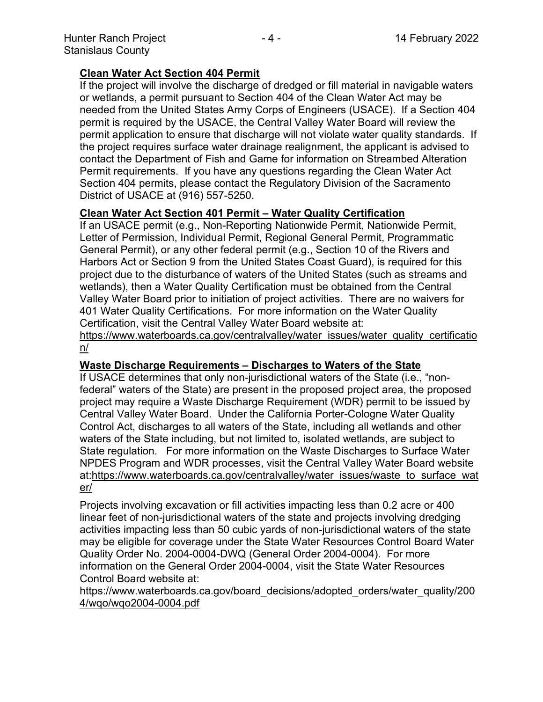## **Clean Water Act Section 404 Permit**

If the project will involve the discharge of dredged or fill material in navigable waters or wetlands, a permit pursuant to Section 404 of the Clean Water Act may be needed from the United States Army Corps of Engineers (USACE). If a Section 404 permit is required by the USACE, the Central Valley Water Board will review the permit application to ensure that discharge will not violate water quality standards. If the project requires surface water drainage realignment, the applicant is advised to contact the Department of Fish and Game for information on Streambed Alteration Permit requirements. If you have any questions regarding the Clean Water Act Section 404 permits, please contact the Regulatory Division of the Sacramento District of USACE at (916) 557-5250.

## **Clean Water Act Section 401 Permit – Water Quality Certification**

If an USACE permit (e.g., Non-Reporting Nationwide Permit, Nationwide Permit, Letter of Permission, Individual Permit, Regional General Permit, Programmatic General Permit), or any other federal permit (e.g., Section 10 of the Rivers and Harbors Act or Section 9 from the United States Coast Guard), is required for this project due to the disturbance of waters of the United States (such as streams and wetlands), then a Water Quality Certification must be obtained from the Central Valley Water Board prior to initiation of project activities. There are no waivers for 401 Water Quality Certifications. For more information on the Water Quality Certification, visit the Central Valley Water Board website at:

https://www.waterboards.ca.gov/centralvalley/water\_issues/water\_quality\_certificatio n/

## **Waste Discharge Requirements – Discharges to Waters of the State**

If USACE determines that only non-jurisdictional waters of the State (i.e., "nonfederal" waters of the State) are present in the proposed project area, the proposed project may require a Waste Discharge Requirement (WDR) permit to be issued by Central Valley Water Board. Under the California Porter-Cologne Water Quality Control Act, discharges to all waters of the State, including all wetlands and other waters of the State including, but not limited to, isolated wetlands, are subject to State regulation. For more information on the Waste Discharges to Surface Water NPDES Program and WDR processes, visit the Central Valley Water Board website at:https://www.waterboards.ca.gov/centralvalley/water\_issues/waste\_to\_surface\_wat er/

Projects involving excavation or fill activities impacting less than 0.2 acre or 400 linear feet of non-jurisdictional waters of the state and projects involving dredging activities impacting less than 50 cubic yards of non-jurisdictional waters of the state may be eligible for coverage under the State Water Resources Control Board Water Quality Order No. 2004-0004-DWQ (General Order 2004-0004). For more information on the General Order 2004-0004, visit the State Water Resources Control Board website at:

https://www.waterboards.ca.gov/board\_decisions/adopted\_orders/water\_quality/200 4/wqo/wqo2004-0004.pdf